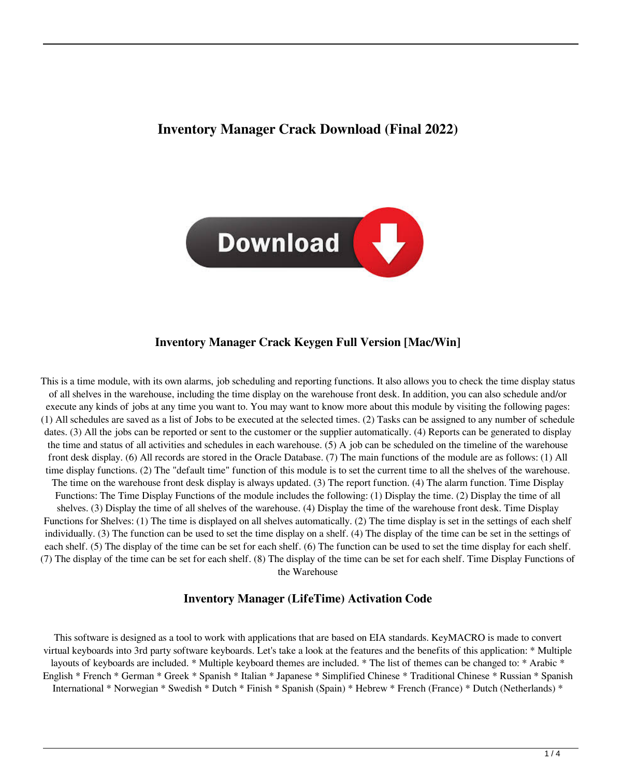# **Inventory Manager Crack Download (Final 2022)**



### **Inventory Manager Crack Keygen Full Version [Mac/Win]**

This is a time module, with its own alarms, job scheduling and reporting functions. It also allows you to check the time display status of all shelves in the warehouse, including the time display on the warehouse front desk. In addition, you can also schedule and/or execute any kinds of jobs at any time you want to. You may want to know more about this module by visiting the following pages: (1) All schedules are saved as a list of Jobs to be executed at the selected times. (2) Tasks can be assigned to any number of schedule dates. (3) All the jobs can be reported or sent to the customer or the supplier automatically. (4) Reports can be generated to display the time and status of all activities and schedules in each warehouse. (5) A job can be scheduled on the timeline of the warehouse front desk display. (6) All records are stored in the Oracle Database. (7) The main functions of the module are as follows: (1) All time display functions. (2) The "default time" function of this module is to set the current time to all the shelves of the warehouse. The time on the warehouse front desk display is always updated. (3) The report function. (4) The alarm function. Time Display Functions: The Time Display Functions of the module includes the following: (1) Display the time. (2) Display the time of all shelves. (3) Display the time of all shelves of the warehouse. (4) Display the time of the warehouse front desk. Time Display Functions for Shelves: (1) The time is displayed on all shelves automatically. (2) The time display is set in the settings of each shelf individually. (3) The function can be used to set the time display on a shelf. (4) The display of the time can be set in the settings of each shelf. (5) The display of the time can be set for each shelf. (6) The function can be used to set the time display for each shelf. (7) The display of the time can be set for each shelf. (8) The display of the time can be set for each shelf. Time Display Functions of the Warehouse

#### **Inventory Manager (LifeTime) Activation Code**

This software is designed as a tool to work with applications that are based on EIA standards. KeyMACRO is made to convert virtual keyboards into 3rd party software keyboards. Let's take a look at the features and the benefits of this application: \* Multiple layouts of keyboards are included. \* Multiple keyboard themes are included. \* The list of themes can be changed to: \* Arabic \* English \* French \* German \* Greek \* Spanish \* Italian \* Japanese \* Simplified Chinese \* Traditional Chinese \* Russian \* Spanish International \* Norwegian \* Swedish \* Dutch \* Finish \* Spanish (Spain) \* Hebrew \* French (France) \* Dutch (Netherlands) \*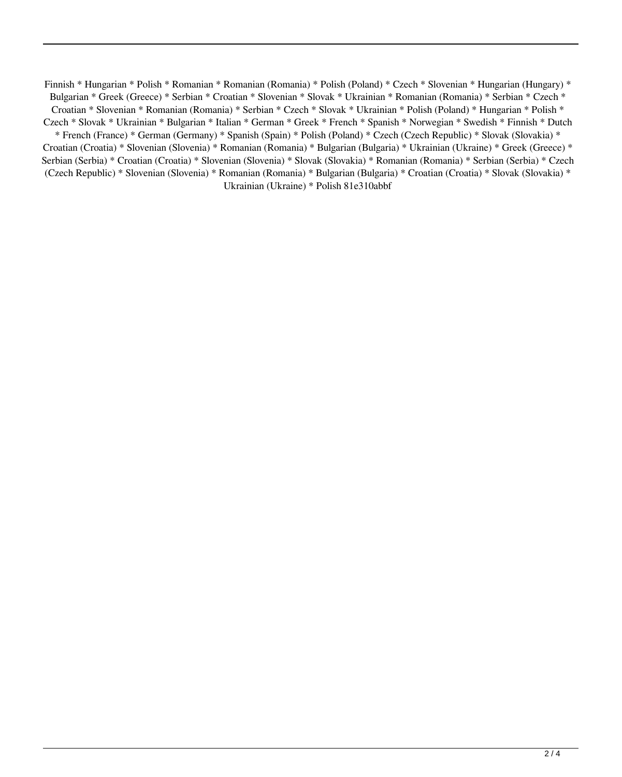Finnish \* Hungarian \* Polish \* Romanian \* Romanian (Romania) \* Polish (Poland) \* Czech \* Slovenian \* Hungarian (Hungary) \* Bulgarian \* Greek (Greece) \* Serbian \* Croatian \* Slovenian \* Slovak \* Ukrainian \* Romanian (Romania) \* Serbian \* Czech \* Croatian \* Slovenian \* Romanian (Romania) \* Serbian \* Czech \* Slovak \* Ukrainian \* Polish (Poland) \* Hungarian \* Polish \* Czech \* Slovak \* Ukrainian \* Bulgarian \* Italian \* German \* Greek \* French \* Spanish \* Norwegian \* Swedish \* Finnish \* Dutch \* French (France) \* German (Germany) \* Spanish (Spain) \* Polish (Poland) \* Czech (Czech Republic) \* Slovak (Slovakia) \* Croatian (Croatia) \* Slovenian (Slovenia) \* Romanian (Romania) \* Bulgarian (Bulgaria) \* Ukrainian (Ukraine) \* Greek (Greece) \* Serbian (Serbia) \* Croatian (Croatia) \* Slovenian (Slovenia) \* Slovak (Slovakia) \* Romanian (Romania) \* Serbian (Serbia) \* Czech (Czech Republic) \* Slovenian (Slovenia) \* Romanian (Romania) \* Bulgarian (Bulgaria) \* Croatian (Croatia) \* Slovak (Slovakia) \* Ukrainian (Ukraine) \* Polish 81e310abbf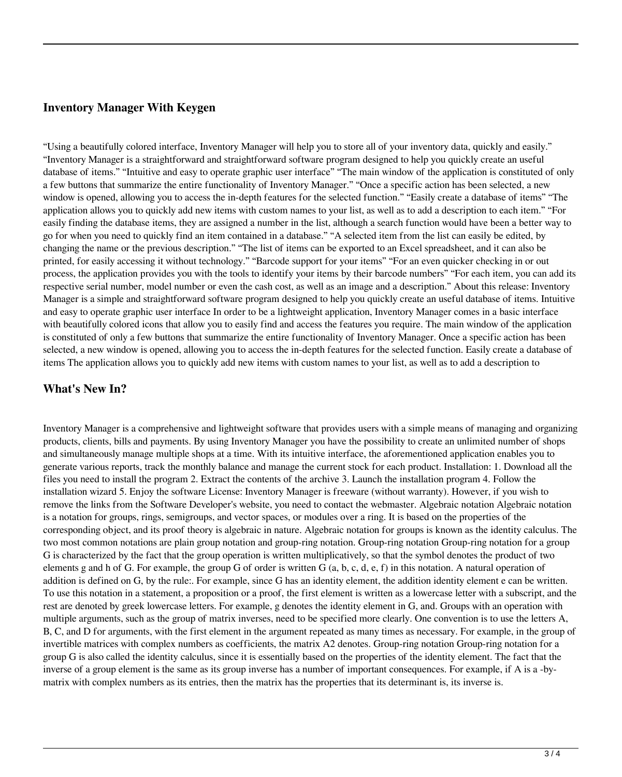## **Inventory Manager With Keygen**

"Using a beautifully colored interface, Inventory Manager will help you to store all of your inventory data, quickly and easily." "Inventory Manager is a straightforward and straightforward software program designed to help you quickly create an useful database of items." "Intuitive and easy to operate graphic user interface" "The main window of the application is constituted of only a few buttons that summarize the entire functionality of Inventory Manager." "Once a specific action has been selected, a new window is opened, allowing you to access the in-depth features for the selected function." "Easily create a database of items" "The application allows you to quickly add new items with custom names to your list, as well as to add a description to each item." "For easily finding the database items, they are assigned a number in the list, although a search function would have been a better way to go for when you need to quickly find an item contained in a database." "A selected item from the list can easily be edited, by changing the name or the previous description." "The list of items can be exported to an Excel spreadsheet, and it can also be printed, for easily accessing it without technology." "Barcode support for your items" "For an even quicker checking in or out process, the application provides you with the tools to identify your items by their barcode numbers" "For each item, you can add its respective serial number, model number or even the cash cost, as well as an image and a description." About this release: Inventory Manager is a simple and straightforward software program designed to help you quickly create an useful database of items. Intuitive and easy to operate graphic user interface In order to be a lightweight application, Inventory Manager comes in a basic interface with beautifully colored icons that allow you to easily find and access the features you require. The main window of the application is constituted of only a few buttons that summarize the entire functionality of Inventory Manager. Once a specific action has been selected, a new window is opened, allowing you to access the in-depth features for the selected function. Easily create a database of items The application allows you to quickly add new items with custom names to your list, as well as to add a description to

## **What's New In?**

Inventory Manager is a comprehensive and lightweight software that provides users with a simple means of managing and organizing products, clients, bills and payments. By using Inventory Manager you have the possibility to create an unlimited number of shops and simultaneously manage multiple shops at a time. With its intuitive interface, the aforementioned application enables you to generate various reports, track the monthly balance and manage the current stock for each product. Installation: 1. Download all the files you need to install the program 2. Extract the contents of the archive 3. Launch the installation program 4. Follow the installation wizard 5. Enjoy the software License: Inventory Manager is freeware (without warranty). However, if you wish to remove the links from the Software Developer's website, you need to contact the webmaster. Algebraic notation Algebraic notation is a notation for groups, rings, semigroups, and vector spaces, or modules over a ring. It is based on the properties of the corresponding object, and its proof theory is algebraic in nature. Algebraic notation for groups is known as the identity calculus. The two most common notations are plain group notation and group-ring notation. Group-ring notation Group-ring notation for a group G is characterized by the fact that the group operation is written multiplicatively, so that the symbol denotes the product of two elements g and h of G. For example, the group G of order is written G  $(a, b, c, d, e, f)$  in this notation. A natural operation of addition is defined on G, by the rule:. For example, since G has an identity element, the addition identity element e can be written. To use this notation in a statement, a proposition or a proof, the first element is written as a lowercase letter with a subscript, and the rest are denoted by greek lowercase letters. For example, g denotes the identity element in G, and. Groups with an operation with multiple arguments, such as the group of matrix inverses, need to be specified more clearly. One convention is to use the letters A, B, C, and D for arguments, with the first element in the argument repeated as many times as necessary. For example, in the group of invertible matrices with complex numbers as coefficients, the matrix A2 denotes. Group-ring notation Group-ring notation for a group G is also called the identity calculus, since it is essentially based on the properties of the identity element. The fact that the inverse of a group element is the same as its group inverse has a number of important consequences. For example, if A is a -bymatrix with complex numbers as its entries, then the matrix has the properties that its determinant is, its inverse is.